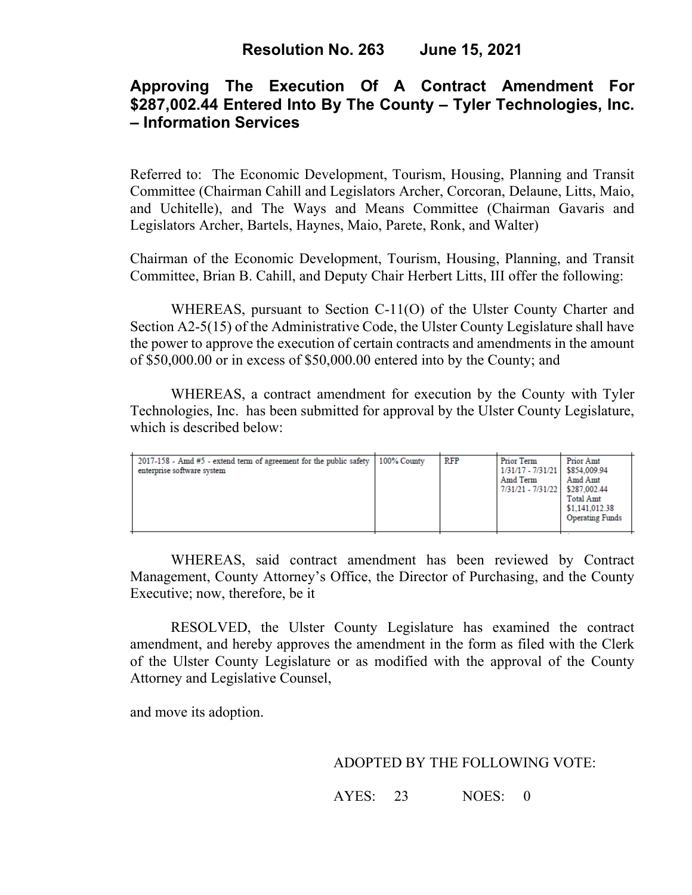# **Approving The Execution Of A Contract Amendment For \$287,002.44 Entered Into By The County – Tyler Technologies, Inc. – Information Services**

Referred to: The Economic Development, Tourism, Housing, Planning and Transit Committee (Chairman Cahill and Legislators Archer, Corcoran, Delaune, Litts, Maio, and Uchitelle), and The Ways and Means Committee (Chairman Gavaris and Legislators Archer, Bartels, Haynes, Maio, Parete, Ronk, and Walter)

Chairman of the Economic Development, Tourism, Housing, Planning, and Transit Committee, Brian B. Cahill, and Deputy Chair Herbert Litts, III offer the following:

WHEREAS, pursuant to Section C-11(O) of the Ulster County Charter and Section A2-5(15) of the Administrative Code, the Ulster County Legislature shall have the power to approve the execution of certain contracts and amendments in the amount of \$50,000.00 or in excess of \$50,000.00 entered into by the County; and

WHEREAS, a contract amendment for execution by the County with Tyler Technologies, Inc. has been submitted for approval by the Ulster County Legislature, which is described below:

| $2017-158$ - Amd $#5$ - extend term of agreement for the public safety<br>enterprise software system | 100% County | RFP | Prior Term<br>1/31/17 - 7/31/21   \$854,009.94<br>Amd Term<br>7/31/21 - 7/31/22 \$287.002.44 | Prior Amt<br>Amd Amt<br><b>Total Amt</b><br>\$1,141,012.38<br><b>Operating Funds</b> |
|------------------------------------------------------------------------------------------------------|-------------|-----|----------------------------------------------------------------------------------------------|--------------------------------------------------------------------------------------|
|------------------------------------------------------------------------------------------------------|-------------|-----|----------------------------------------------------------------------------------------------|--------------------------------------------------------------------------------------|

WHEREAS, said contract amendment has been reviewed by Contract Management, County Attorney's Office, the Director of Purchasing, and the County Executive; now, therefore, be it

RESOLVED, the Ulster County Legislature has examined the contract amendment, and hereby approves the amendment in the form as filed with the Clerk of the Ulster County Legislature or as modified with the approval of the County Attorney and Legislative Counsel,

and move its adoption.

### ADOPTED BY THE FOLLOWING VOTE:

AYES: 23 NOES: 0